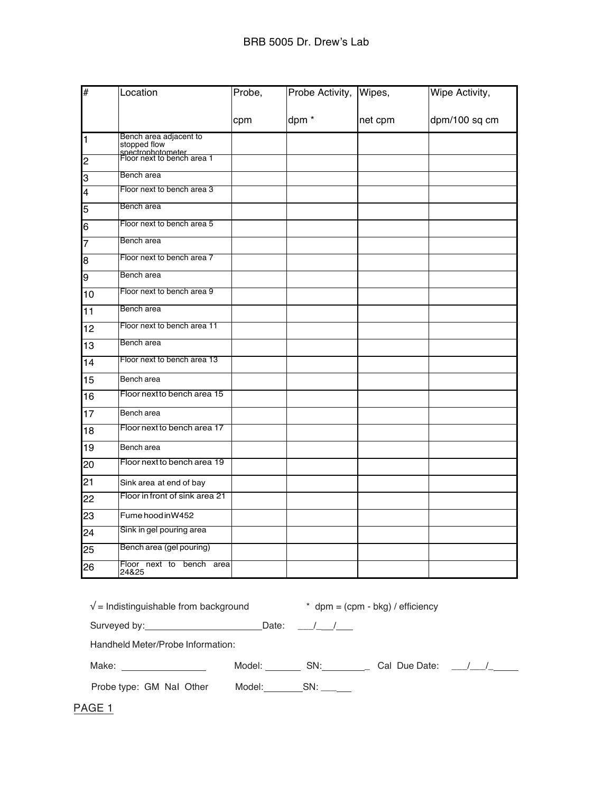| #  | Location                                        | Probe, | Probe Activity,  | Wipes,  | Wipe Activity, |
|----|-------------------------------------------------|--------|------------------|---------|----------------|
|    |                                                 | cpm    | dpm <sup>*</sup> | net cpm | dpm/100 sq cm  |
| 1  | Bench area adjacent to<br>stopped flow          |        |                  |         |                |
| 2  | spectrophotometer<br>Floor next to bench area 1 |        |                  |         |                |
| З  | Bench area                                      |        |                  |         |                |
| 4  | Floor next to bench area 3                      |        |                  |         |                |
| 5  | Bench area                                      |        |                  |         |                |
| 6  | Floor next to bench area 5                      |        |                  |         |                |
| 7  | Bench area                                      |        |                  |         |                |
| 8  | Floor next to bench area 7                      |        |                  |         |                |
| 9  | Bench area                                      |        |                  |         |                |
| 10 | Floor next to bench area 9                      |        |                  |         |                |
| 11 | Bench area                                      |        |                  |         |                |
| 12 | Floor next to bench area 11                     |        |                  |         |                |
| 13 | Bench area                                      |        |                  |         |                |
| 14 | Floor next to bench area 13                     |        |                  |         |                |
| 15 | Bench area                                      |        |                  |         |                |
| 16 | Floor next to bench area 15                     |        |                  |         |                |
| 17 | Bench area                                      |        |                  |         |                |
| 18 | Floor next to bench area 17                     |        |                  |         |                |
| 19 | Bench area                                      |        |                  |         |                |
| 20 | Floor next to bench area 19                     |        |                  |         |                |
| 21 | Sink area at end of bay                         |        |                  |         |                |
| 22 | Floor in front of sink area 21                  |        |                  |         |                |
| 23 | Fume hood in W452                               |        |                  |         |                |
| 24 | Sink in gel pouring area                        |        |                  |         |                |
| 25 | Bench area (gel pouring)                        |        |                  |         |                |
| 26 | Floor next to bench area<br>24&25               |        |                  |         |                |

| $\sqrt{\ }$ = Indistinguishable from background | $*$ dpm = (cpm - bkg) / efficiency |
|-------------------------------------------------|------------------------------------|
|-------------------------------------------------|------------------------------------|

Surveyed by:  $Date:$  Date:  $1/2$ 

Handheld Meter/Probe Information:

| ___<br>____ |        |    |               |  |
|-------------|--------|----|---------------|--|
| Make.       | ി∆∩∩ില | ∍⊾ | Cal Due Date: |  |

Probe type: GM NaI Other Model: \_\_\_\_\_\_\_SN: \_\_\_\_\_

PAGE<sub>1</sub>